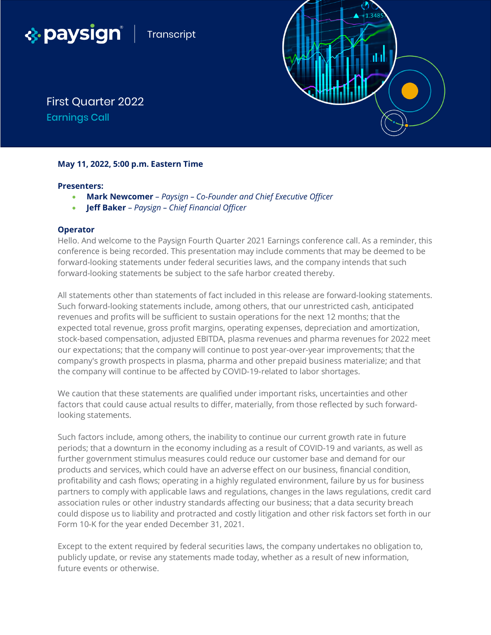



First Quarter 2022 Earnings Call

# **May 11, 2022, 5:00 p.m. Eastern Time**

### **Presenters:**

- **Mark Newcomer** *Paysign – Co-Founder and Chief Executive Officer*
- **Jeff Baker** *Paysign – Chief Financial Officer*

## **Operator**

Hello. And welcome to the Paysign Fourth Quarter 2021 Earnings conference call. As a reminder, this conference is being recorded. This presentation may include comments that may be deemed to be forward-looking statements under federal securities laws, and the company intends that such forward-looking statements be subject to the safe harbor created thereby.

All statements other than statements of fact included in this release are forward-looking statements. Such forward-looking statements include, among others, that our unrestricted cash, anticipated revenues and profits will be sufficient to sustain operations for the next 12 months; that the expected total revenue, gross profit margins, operating expenses, depreciation and amortization, stock-based compensation, adjusted EBITDA, plasma revenues and pharma revenues for 2022 meet our expectations; that the company will continue to post year-over-year improvements; that the company's growth prospects in plasma, pharma and other prepaid business materialize; and that the company will continue to be affected by COVID-19-related to labor shortages.

We caution that these statements are qualified under important risks, uncertainties and other factors that could cause actual results to differ, materially, from those reflected by such forwardlooking statements.

Such factors include, among others, the inability to continue our current growth rate in future periods; that a downturn in the economy including as a result of COVID-19 and variants, as well as further government stimulus measures could reduce our customer base and demand for our products and services, which could have an adverse effect on our business, financial condition, profitability and cash flows; operating in a highly regulated environment, failure by us for business partners to comply with applicable laws and regulations, changes in the laws regulations, credit card association rules or other industry standards affecting our business; that a data security breach could dispose us to liability and protracted and costly litigation and other risk factors set forth in our Form 10-K for the year ended December 31, 2021.

Except to the extent required by federal securities laws, the company undertakes no obligation to, publicly update, or revise any statements made today, whether as a result of new information, future events or otherwise.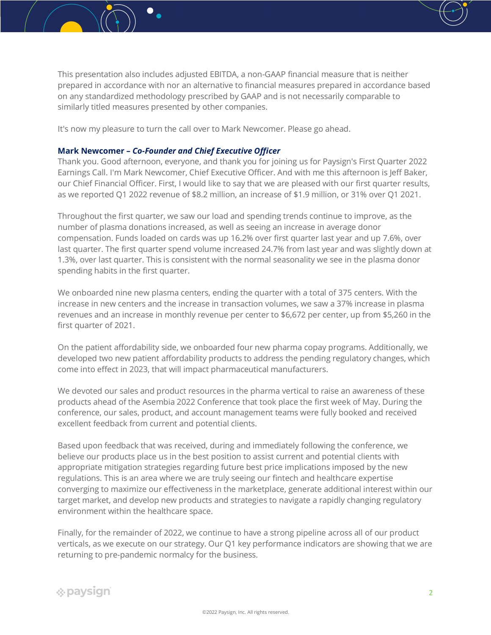

It's now my pleasure to turn the call over to Mark Newcomer. Please go ahead.

## **Mark Newcomer –** *Co-Founder and Chief Executive Officer*

Thank you. Good afternoon, everyone, and thank you for joining us for Paysign's First Quarter 2022 Earnings Call. I'm Mark Newcomer, Chief Executive Officer. And with me this afternoon is Jeff Baker, our Chief Financial Officer. First, I would like to say that we are pleased with our first quarter results, as we reported Q1 2022 revenue of \$8.2 million, an increase of \$1.9 million, or 31% over Q1 2021.

Throughout the first quarter, we saw our load and spending trends continue to improve, as the number of plasma donations increased, as well as seeing an increase in average donor compensation. Funds loaded on cards was up 16.2% over first quarter last year and up 7.6%, over last quarter. The first quarter spend volume increased 24.7% from last year and was slightly down at 1.3%, over last quarter. This is consistent with the normal seasonality we see in the plasma donor spending habits in the first quarter.

We onboarded nine new plasma centers, ending the quarter with a total of 375 centers. With the increase in new centers and the increase in transaction volumes, we saw a 37% increase in plasma revenues and an increase in monthly revenue per center to \$6,672 per center, up from \$5,260 in the first quarter of 2021.

On the patient affordability side, we onboarded four new pharma copay programs. Additionally, we developed two new patient affordability products to address the pending regulatory changes, which come into effect in 2023, that will impact pharmaceutical manufacturers.

We devoted our sales and product resources in the pharma vertical to raise an awareness of these products ahead of the Asembia 2022 Conference that took place the first week of May. During the conference, our sales, product, and account management teams were fully booked and received excellent feedback from current and potential clients.

Based upon feedback that was received, during and immediately following the conference, we believe our products place us in the best position to assist current and potential clients with appropriate mitigation strategies regarding future best price implications imposed by the new regulations. This is an area where we are truly seeing our fintech and healthcare expertise converging to maximize our effectiveness in the marketplace, generate additional interest within our target market, and develop new products and strategies to navigate a rapidly changing regulatory environment within the healthcare space.

Finally, for the remainder of 2022, we continue to have a strong pipeline across all of our product verticals, as we execute on our strategy. Our Q1 key performance indicators are showing that we are returning to pre-pandemic normalcy for the business.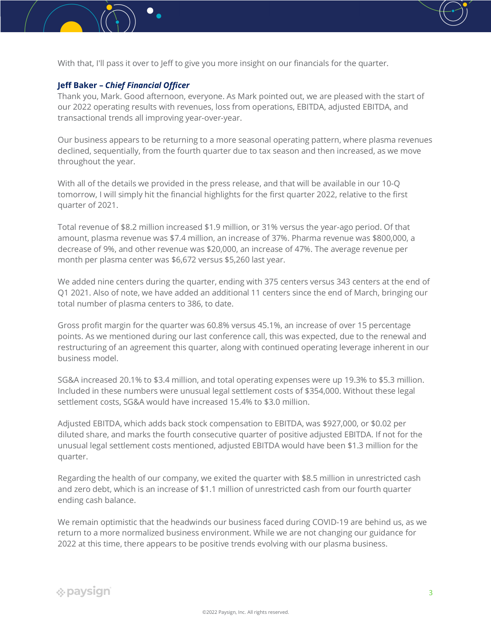

With that, I'll pass it over to Jeff to give you more insight on our financials for the quarter.

## **Jeff Baker –** *Chief Financial Officer*

Thank you, Mark. Good afternoon, everyone. As Mark pointed out, we are pleased with the start of our 2022 operating results with revenues, loss from operations, EBITDA, adjusted EBITDA, and transactional trends all improving year-over-year.

Our business appears to be returning to a more seasonal operating pattern, where plasma revenues declined, sequentially, from the fourth quarter due to tax season and then increased, as we move throughout the year.

With all of the details we provided in the press release, and that will be available in our 10-Q tomorrow, I will simply hit the financial highlights for the first quarter 2022, relative to the first quarter of 2021.

Total revenue of \$8.2 million increased \$1.9 million, or 31% versus the year-ago period. Of that amount, plasma revenue was \$7.4 million, an increase of 37%. Pharma revenue was \$800,000, a decrease of 9%, and other revenue was \$20,000, an increase of 47%. The average revenue per month per plasma center was \$6,672 versus \$5,260 last year.

We added nine centers during the quarter, ending with 375 centers versus 343 centers at the end of Q1 2021. Also of note, we have added an additional 11 centers since the end of March, bringing our total number of plasma centers to 386, to date.

Gross profit margin for the quarter was 60.8% versus 45.1%, an increase of over 15 percentage points. As we mentioned during our last conference call, this was expected, due to the renewal and restructuring of an agreement this quarter, along with continued operating leverage inherent in our business model.

SG&A increased 20.1% to \$3.4 million, and total operating expenses were up 19.3% to \$5.3 million. Included in these numbers were unusual legal settlement costs of \$354,000. Without these legal settlement costs, SG&A would have increased 15.4% to \$3.0 million.

Adjusted EBITDA, which adds back stock compensation to EBITDA, was \$927,000, or \$0.02 per diluted share, and marks the fourth consecutive quarter of positive adjusted EBITDA. If not for the unusual legal settlement costs mentioned, adjusted EBITDA would have been \$1.3 million for the quarter.

Regarding the health of our company, we exited the quarter with \$8.5 million in unrestricted cash and zero debt, which is an increase of \$1.1 million of unrestricted cash from our fourth quarter ending cash balance.

We remain optimistic that the headwinds our business faced during COVID-19 are behind us, as we return to a more normalized business environment. While we are not changing our guidance for 2022 at this time, there appears to be positive trends evolving with our plasma business.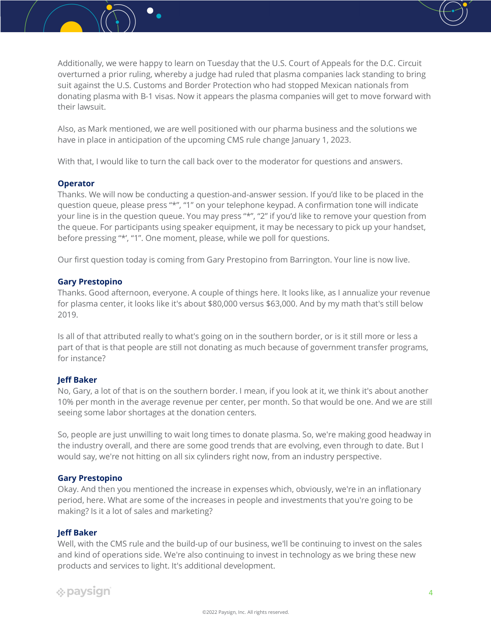

Also, as Mark mentioned, we are well positioned with our pharma business and the solutions we have in place in anticipation of the upcoming CMS rule change January 1, 2023.

With that, I would like to turn the call back over to the moderator for questions and answers.

### **Operator**

Thanks. We will now be conducting a question-and-answer session. If you'd like to be placed in the question queue, please press "\*", "1" on your telephone keypad. A confirmation tone will indicate your line is in the question queue. You may press "\*", "2" if you'd like to remove your question from the queue. For participants using speaker equipment, it may be necessary to pick up your handset, before pressing "\*', "1". One moment, please, while we poll for questions.

Our first question today is coming from Gary Prestopino from Barrington. Your line is now live.

## **Gary Prestopino**

Thanks. Good afternoon, everyone. A couple of things here. It looks like, as I annualize your revenue for plasma center, it looks like it's about \$80,000 versus \$63,000. And by my math that's still below 2019.

Is all of that attributed really to what's going on in the southern border, or is it still more or less a part of that is that people are still not donating as much because of government transfer programs, for instance?

#### **Jeff Baker**

No, Gary, a lot of that is on the southern border. I mean, if you look at it, we think it's about another 10% per month in the average revenue per center, per month. So that would be one. And we are still seeing some labor shortages at the donation centers.

So, people are just unwilling to wait long times to donate plasma. So, we're making good headway in the industry overall, and there are some good trends that are evolving, even through to date. But I would say, we're not hitting on all six cylinders right now, from an industry perspective.

### **Gary Prestopino**

Okay. And then you mentioned the increase in expenses which, obviously, we're in an inflationary period, here. What are some of the increases in people and investments that you're going to be making? Is it a lot of sales and marketing?

### **Jeff Baker**

Well, with the CMS rule and the build-up of our business, we'll be continuing to invest on the sales and kind of operations side. We're also continuing to invest in technology as we bring these new products and services to light. It's additional development.